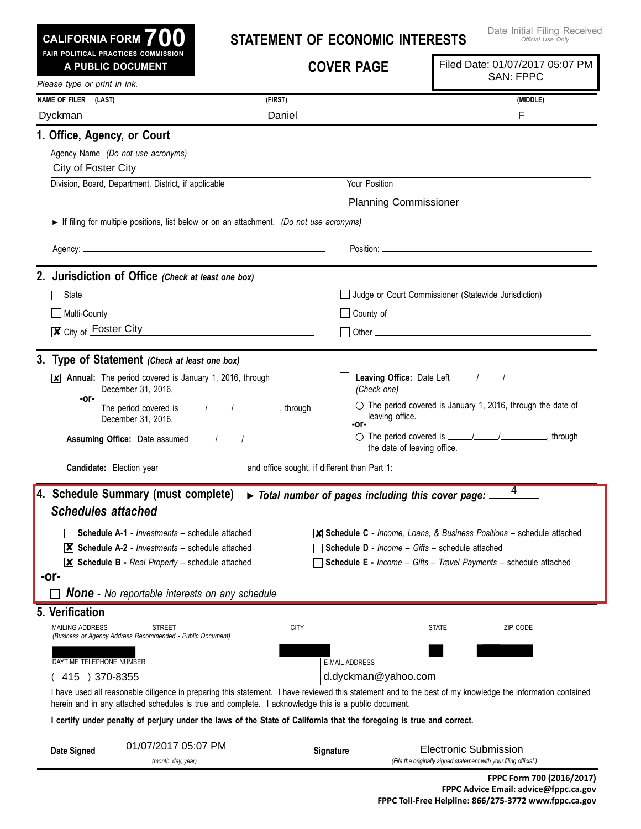| <b>CALIFORNIA FORM</b> | 701 |  |
|------------------------|-----|--|
|                        |     |  |

## **Statement of Economic Interests**

|                              | FAIR POLITICAL PRACTICES COMMISSION<br>A PUBLIC DOCUMENT                                                                                                                                                                             |             | <b>COVER PAGE</b>                                      |                             | Filed Date: 01/07/2017 05:07 PM<br><b>SAN: FPPC</b>                                          |
|------------------------------|--------------------------------------------------------------------------------------------------------------------------------------------------------------------------------------------------------------------------------------|-------------|--------------------------------------------------------|-----------------------------|----------------------------------------------------------------------------------------------|
| Please type or print in ink. |                                                                                                                                                                                                                                      |             |                                                        |                             |                                                                                              |
| NAME OF FILER (LAST)         |                                                                                                                                                                                                                                      | (FIRST)     |                                                        |                             | (MIDDLE)                                                                                     |
| Dyckman                      |                                                                                                                                                                                                                                      | Daniel      |                                                        |                             | F                                                                                            |
| 1. Office, Agency, or Court  |                                                                                                                                                                                                                                      |             |                                                        |                             |                                                                                              |
| City of Foster City          | Agency Name (Do not use acronyms)                                                                                                                                                                                                    |             |                                                        |                             |                                                                                              |
|                              | Division, Board, Department, District, if applicable                                                                                                                                                                                 |             | Your Position                                          |                             |                                                                                              |
|                              |                                                                                                                                                                                                                                      |             | <b>Planning Commissioner</b>                           |                             |                                                                                              |
|                              | If filing for multiple positions, list below or on an attachment. (Do not use acronyms)                                                                                                                                              |             |                                                        |                             |                                                                                              |
|                              |                                                                                                                                                                                                                                      |             |                                                        |                             |                                                                                              |
|                              | 2. Jurisdiction of Office (Check at least one box)                                                                                                                                                                                   |             |                                                        |                             |                                                                                              |
| State                        |                                                                                                                                                                                                                                      |             |                                                        |                             | Judge or Court Commissioner (Statewide Jurisdiction)                                         |
|                              | <u>  Multi-County   Multi-County   Multi-County   Multi-County   Multi-County   Multi-County   Multi-Base   Multi-Base   Multi-Base   Multi-Base   Multi-Base   Multi-Base   Multi-Base   Multi-Base   Multi-Base   Multi-Base  </u> |             |                                                        |                             |                                                                                              |
|                              | $\overline{\mathbf{x}}$ City of Foster City                                                                                                                                                                                          |             |                                                        |                             |                                                                                              |
|                              |                                                                                                                                                                                                                                      |             |                                                        |                             |                                                                                              |
|                              | 3. Type of Statement (Check at least one box)                                                                                                                                                                                        |             |                                                        |                             |                                                                                              |
| $\vert x \vert$              | Annual: The period covered is January 1, 2016, through<br>December 31, 2016.                                                                                                                                                         |             | (Check one)                                            |                             |                                                                                              |
| -or-                         | December 31, 2016.                                                                                                                                                                                                                   |             | leaving office.<br>-or-                                |                             | $\circ$ The period covered is January 1, 2016, through the date of                           |
|                              |                                                                                                                                                                                                                                      |             |                                                        | the date of leaving office. |                                                                                              |
|                              | Candidate: Election year ___________________                                                                                                                                                                                         |             |                                                        |                             |                                                                                              |
| <b>Schedules attached</b>    | 4. Schedule Summary (must complete)                                                                                                                                                                                                  |             | Total number of pages including this cover page: _     |                             | 4                                                                                            |
|                              | <b>Schedule A-1 - Investments - schedule attached</b>                                                                                                                                                                                |             |                                                        |                             | $\overline{\mathsf{x}}$ Schedule C - Income, Loans, & Business Positions – schedule attached |
|                              | $ \mathsf{X} $ Schedule A-2 - <i>Investments</i> – schedule attached                                                                                                                                                                 |             | <b>Schedule D - Income - Gifts - schedule attached</b> |                             |                                                                                              |
|                              | $\mathbf{X}$ Schedule B - Real Property – schedule attached                                                                                                                                                                          |             |                                                        |                             | <b>Schedule E</b> - Income - Gifts - Travel Payments - schedule attached                     |
| -or-                         | <b>None -</b> No reportable interests on any schedule                                                                                                                                                                                |             |                                                        |                             |                                                                                              |
| 5. Verification              |                                                                                                                                                                                                                                      |             |                                                        |                             |                                                                                              |
| <b>MAILING ADDRESS</b>       | <b>STREET</b><br>(Business or Agency Address Recommended - Public Document)                                                                                                                                                          | <b>CITY</b> |                                                        | <b>STATE</b>                | ZIP CODE                                                                                     |
| DAYTIME TELEPHONE NUMBER     |                                                                                                                                                                                                                                      |             | <b>E-MAIL ADDRESS</b>                                  |                             |                                                                                              |
| 415 ) 370-8355               |                                                                                                                                                                                                                                      |             | d.dyckman@yahoo.com                                    |                             |                                                                                              |
|                              | I have used all reasonable diligence in preparing this statement. I have reviewed this statement and to the best of my knowledge the information contained                                                                           |             |                                                        |                             |                                                                                              |
|                              | herein and in any attached schedules is true and complete. I acknowledge this is a public document.                                                                                                                                  |             |                                                        |                             |                                                                                              |
|                              | I certify under penalty of perjury under the laws of the State of California that the foregoing is true and correct.                                                                                                                 |             |                                                        |                             |                                                                                              |
| Date Signed                  | 01/07/2017 05:07 PM                                                                                                                                                                                                                  |             | Signature _                                            |                             | <b>Electronic Submission</b>                                                                 |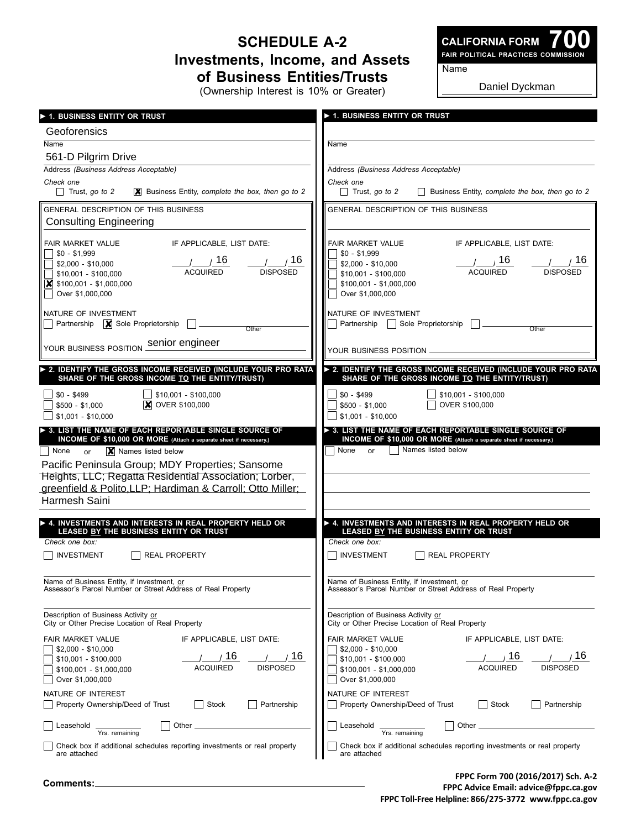## **Schedule A-2 Investments, Income, and Assets of Business Entities/Trusts**

(Ownership Interest is 10% or Greater)

**700 Fair Political Practices Commission**

**CALIFORNIA FORM**

Name

Daniel Dyckman

| 1. BUSINESS ENTITY OR TRUST                                                                                                                                                               | <b>1. BUSINESS ENTITY OR TRUST</b>                                                               |
|-------------------------------------------------------------------------------------------------------------------------------------------------------------------------------------------|--------------------------------------------------------------------------------------------------|
| Geoforensics                                                                                                                                                                              |                                                                                                  |
| Name                                                                                                                                                                                      | Name                                                                                             |
| 561-D Pilgrim Drive                                                                                                                                                                       |                                                                                                  |
| Address (Business Address Acceptable)                                                                                                                                                     | Address (Business Address Acceptable)                                                            |
| Check one                                                                                                                                                                                 | Check one                                                                                        |
| $\Box$ Trust, go to 2                                                                                                                                                                     | Trust, go to 2                                                                                   |
| <b>X</b> Business Entity, complete the box, then go to 2                                                                                                                                  | Business Entity, complete the box, then go to 2                                                  |
| <b>GENERAL DESCRIPTION OF THIS BUSINESS</b><br><b>Consulting Engineering</b>                                                                                                              | GENERAL DESCRIPTION OF THIS BUSINESS                                                             |
| IF APPLICABLE, LIST DATE:                                                                                                                                                                 | IF APPLICABLE, LIST DATE:                                                                        |
| FAIR MARKET VALUE                                                                                                                                                                         | FAIR MARKET VALUE                                                                                |
| $$0 - $1.999$                                                                                                                                                                             | $$0 - $1,999$                                                                                    |
| / 16                                                                                                                                                                                      | 1/16                                                                                             |
| $\frac{1}{2}$ / 16                                                                                                                                                                        | 16                                                                                               |
| \$2,000 - \$10,000                                                                                                                                                                        | $$2,000 - $10,000$                                                                               |
| <b>ACQUIRED</b>                                                                                                                                                                           | <b>ACQUIRED</b>                                                                                  |
| <b>DISPOSED</b>                                                                                                                                                                           | <b>DISPOSED</b>                                                                                  |
| $$10,001 - $100,000$                                                                                                                                                                      | \$10,001 - \$100,000                                                                             |
| $\boxed{\mathbf{X}}$ \$100,001 - \$1,000,000                                                                                                                                              | $$100,001 - $1,000,000$                                                                          |
| Over \$1,000,000                                                                                                                                                                          | Over \$1,000,000                                                                                 |
| NATURE OF INVESTMENT                                                                                                                                                                      | NATURE OF INVESTMENT                                                                             |
| Partnership $\boxed{\mathbf{X}}$ Sole Proprietorship                                                                                                                                      | Partnership   Sole Proprietorship                                                                |
| Other                                                                                                                                                                                     | Other                                                                                            |
| YOUR BUSINESS POSITION Senior engineer                                                                                                                                                    | YOUR BUSINESS POSITION _                                                                         |
| 2. IDENTIFY THE GROSS INCOME RECEIVED (INCLUDE YOUR PRO RATA                                                                                                                              | > 2. IDENTIFY THE GROSS INCOME RECEIVED (INCLUDE YOUR PRO RATA                                   |
| SHARE OF THE GROSS INCOME TO THE ENTITY/TRUST)                                                                                                                                            | SHARE OF THE GROSS INCOME TO THE ENTITY/TRUST)                                                   |
| \$10,001 - \$100,000                                                                                                                                                                      | $\frac{1}{2}$ \$10,001 - \$100,000                                                               |
| $$0 - $499$                                                                                                                                                                               | $$0 - $499$                                                                                      |
| <b>X</b> OVER \$100,000                                                                                                                                                                   | OVER \$100,000                                                                                   |
| $$500 - $1,000$                                                                                                                                                                           | $$500 - $1,000$                                                                                  |
| $$1,001 - $10,000$                                                                                                                                                                        | $$1,001 - $10,000$                                                                               |
| $\triangleright$ 3. LIST THE NAME OF EACH REPORTABLE SINGLE SOURCE OF                                                                                                                     | 3. LIST THE NAME OF EACH REPORTABLE SINGLE SOURCE OF                                             |
| INCOME OF \$10,000 OR MORE (Attach a separate sheet if necessary.)                                                                                                                        | INCOME OF \$10,000 OR MORE (Attach a separate sheet if necessary.)                               |
| X Names listed below<br>  None<br>or                                                                                                                                                      | Names listed below<br>None or                                                                    |
| Pacific Peninsula Group; MDY Properties; Sansome<br>Heights, LLC; Regatta Residential Association; Lorber,<br>greenfield & Polito, LLP; Hardiman & Carroll; Otto Miller;<br>Harmesh Saini |                                                                                                  |
| $\blacktriangleright$ 4. INVESTMENTS AND INTERESTS IN REAL PROPERTY HELD OR                                                                                                               | ▶ 4. INVESTMENTS AND INTERESTS IN REAL PROPERTY HELD OR                                          |
| LEASED BY THE BUSINESS ENTITY OR TRUST                                                                                                                                                    | LEASED BY THE BUSINESS ENTITY OR TRUST                                                           |
| Check one box:                                                                                                                                                                            | Check one box:                                                                                   |
| INVESTMENT                                                                                                                                                                                | INVESTMENT                                                                                       |
| <b>REAL PROPERTY</b>                                                                                                                                                                      | <b>REAL PROPERTY</b>                                                                             |
| Name of Business Entity, if Investment, or                                                                                                                                                | Name of Business Entity, if Investment, or                                                       |
| Assessor's Parcel Number or Street Address of Real Property                                                                                                                               | Assessor's Parcel Number or Street Address of Real Property                                      |
| Description of Business Activity or                                                                                                                                                       | Description of Business Activity or                                                              |
| City or Other Precise Location of Real Property                                                                                                                                           | City or Other Precise Location of Real Property                                                  |
| FAIR MARKET VALUE                                                                                                                                                                         | FAIR MARKET VALUE                                                                                |
| IF APPLICABLE, LIST DATE:                                                                                                                                                                 | IF APPLICABLE, LIST DATE:                                                                        |
| $$2,000 - $10,000$                                                                                                                                                                        | $$2,000 - $10,000$                                                                               |
| 16                                                                                                                                                                                        | 16                                                                                               |
| 16                                                                                                                                                                                        | 16                                                                                               |
| $$10,001 - $100,000$                                                                                                                                                                      | $$10,001 - $100,000$                                                                             |
| <b>ACQUIRED</b>                                                                                                                                                                           | <b>ACQUIRED</b>                                                                                  |
| <b>DISPOSED</b>                                                                                                                                                                           | <b>DISPOSED</b>                                                                                  |
| $$100,001 - $1,000,000$                                                                                                                                                                   | $$100,001 - $1,000,000$                                                                          |
| Over \$1,000,000                                                                                                                                                                          | Over \$1,000,000                                                                                 |
| NATURE OF INTEREST<br>Property Ownership/Deed of Trust<br>Stock<br>Partnership                                                                                                            | NATURE OF INTEREST<br>Property Ownership/Deed of Trust<br>Stock<br>Partnership<br>$\blacksquare$ |
| Leasehold                                                                                                                                                                                 | Leasehold                                                                                        |
| Other _                                                                                                                                                                                   | Other _                                                                                          |
| Yrs. remaining                                                                                                                                                                            | Yrs. remaining                                                                                   |
| Check box if additional schedules reporting investments or real property                                                                                                                  | Check box if additional schedules reporting investments or real property                         |
| are attached                                                                                                                                                                              | are attached                                                                                     |

**FPPC Form 700 (2016/2017) Sch. A-2**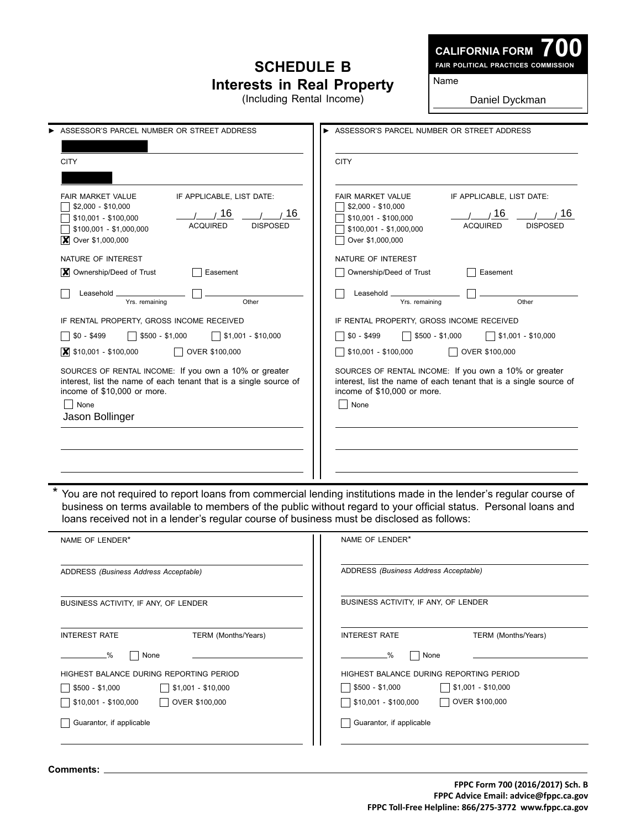## **Schedule B Interests in Real Property**

(Including Rental Income)

**700 Fair Political Practices Commission**

Name

Daniel Dyckman

| ASSESSOR'S PARCEL NUMBER OR STREET ADDRESS                                                                                                                                                                            | ASSESSOR'S PARCEL NUMBER OR STREET ADDRESS                                                                                                                                                           |  |
|-----------------------------------------------------------------------------------------------------------------------------------------------------------------------------------------------------------------------|------------------------------------------------------------------------------------------------------------------------------------------------------------------------------------------------------|--|
| <b>CITY</b>                                                                                                                                                                                                           | <b>CITY</b>                                                                                                                                                                                          |  |
| IF APPLICABLE, LIST DATE:<br><b>FAIR MARKET VALUE</b><br>$$2,000 - $10,000$<br>16<br>16<br>\$10,001 - \$100,000<br><b>ACQUIRED</b><br><b>DISPOSED</b><br>$$100,001 - $1,000,000$<br>$\triangleright$ Over \$1,000,000 | <b>FAIR MARKET VALUE</b><br>IF APPLICABLE, LIST DATE:<br>$$2,000 - $10,000$<br>16<br>16<br>\$10,001 - \$100,000<br><b>ACQUIRED</b><br><b>DISPOSED</b><br>\$100,001 - \$1,000,000<br>Over \$1,000,000 |  |
| NATURE OF INTEREST                                                                                                                                                                                                    | NATURE OF INTEREST                                                                                                                                                                                   |  |
| <b>X</b> Ownership/Deed of Trust<br>Easement                                                                                                                                                                          | Ownership/Deed of Trust<br>Easement                                                                                                                                                                  |  |
| Leasehold<br>Other<br>Yrs. remaining                                                                                                                                                                                  | Leasehold _<br>Other<br>Yrs. remaining                                                                                                                                                               |  |
| IF RENTAL PROPERTY, GROSS INCOME RECEIVED                                                                                                                                                                             | IF RENTAL PROPERTY, GROSS INCOME RECEIVED                                                                                                                                                            |  |
| $$0 - $499$<br>$\sqrt{\ }}$ \$1,001 - \$10,000<br>$$500 - $1,000$                                                                                                                                                     | $$0 - $499$<br>$$500 - $1,000$<br>$$1,001 - $10,000$                                                                                                                                                 |  |
| $\overline{\mathsf{x}}$ \$10,001 - \$100,000<br>OVER \$100,000                                                                                                                                                        | $$10,001 - $100,000$<br>OVER \$100,000                                                                                                                                                               |  |
| SOURCES OF RENTAL INCOME: If you own a 10% or greater<br>interest, list the name of each tenant that is a single source of<br>income of \$10,000 or more.<br>  None<br>Jason Bollinger                                | SOURCES OF RENTAL INCOME: If you own a 10% or greater<br>interest, list the name of each tenant that is a single source of<br>income of \$10,000 or more.<br>None                                    |  |
|                                                                                                                                                                                                                       |                                                                                                                                                                                                      |  |

\* You are not required to report loans from commercial lending institutions made in the lender's regular course of business on terms available to members of the public without regard to your official status. Personal loans and loans received not in a lender's regular course of business must be disclosed as follows:

| NAME OF LENDER*                                       | NAME OF LENDER*                                 |  |  |
|-------------------------------------------------------|-------------------------------------------------|--|--|
| ADDRESS (Business Address Acceptable)                 | ADDRESS (Business Address Acceptable)           |  |  |
| BUSINESS ACTIVITY, IF ANY, OF LENDER                  | BUSINESS ACTIVITY, IF ANY, OF LENDER            |  |  |
| <b>INTEREST RATE</b><br>TERM (Months/Years)           | <b>INTEREST RATE</b><br>TERM (Months/Years)     |  |  |
| -%<br>None                                            | None<br>-%                                      |  |  |
| HIGHEST BALANCE DURING REPORTING PERIOD               | HIGHEST BALANCE DURING REPORTING PERIOD         |  |  |
| $S1,001 - S10,000$<br>$$500 - $1,000$<br>$\mathbf{1}$ | $\vert$   \$1,001 - \$10,000<br>\$500 - \$1,000 |  |  |
| OVER \$100,000<br>$\frac{1}{2}$ \$10,001 - \$100,000  | OVER \$100,000<br>\$10,001 - \$100,000          |  |  |
| Guarantor, if applicable                              | Guarantor, if applicable                        |  |  |